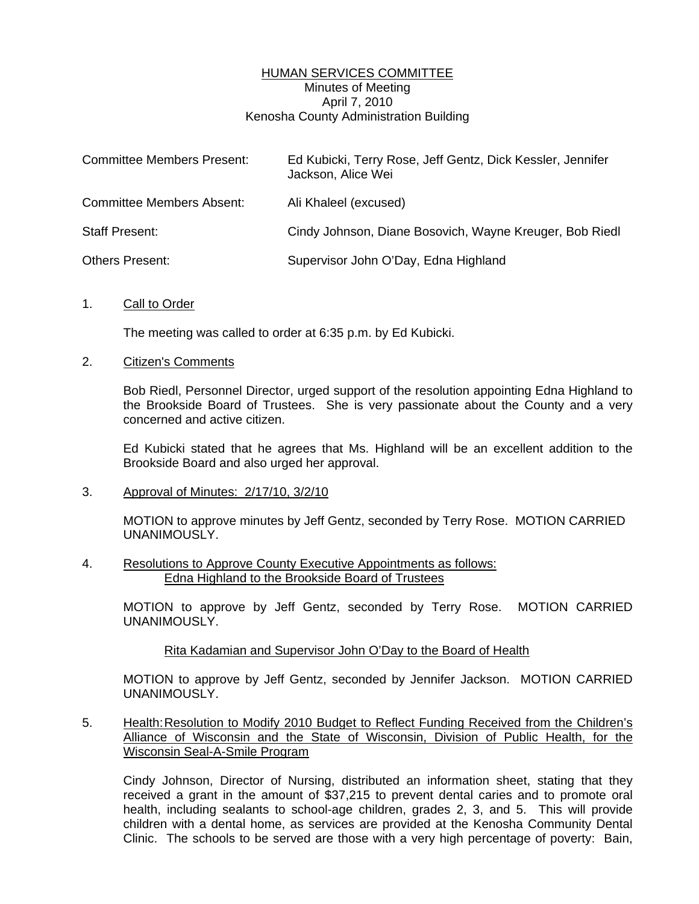## HUMAN SERVICES COMMITTEE Minutes of Meeting April 7, 2010 Kenosha County Administration Building

| <b>Committee Members Present:</b> | Ed Kubicki, Terry Rose, Jeff Gentz, Dick Kessler, Jennifer<br>Jackson, Alice Wei |
|-----------------------------------|----------------------------------------------------------------------------------|
| <b>Committee Members Absent:</b>  | Ali Khaleel (excused)                                                            |
| <b>Staff Present:</b>             | Cindy Johnson, Diane Bosovich, Wayne Kreuger, Bob Riedl                          |
| Others Present:                   | Supervisor John O'Day, Edna Highland                                             |

## 1. Call to Order

The meeting was called to order at 6:35 p.m. by Ed Kubicki.

## 2. Citizen's Comments

 Bob Riedl, Personnel Director, urged support of the resolution appointing Edna Highland to the Brookside Board of Trustees. She is very passionate about the County and a very concerned and active citizen.

 Ed Kubicki stated that he agrees that Ms. Highland will be an excellent addition to the Brookside Board and also urged her approval.

3. Approval of Minutes: 2/17/10, 3/2/10

 MOTION to approve minutes by Jeff Gentz, seconded by Terry Rose. MOTION CARRIED UNANIMOUSLY.

4. Resolutions to Approve County Executive Appointments as follows: Edna Highland to the Brookside Board of Trustees

 MOTION to approve by Jeff Gentz, seconded by Terry Rose. MOTION CARRIED UNANIMOUSLY.

## Rita Kadamian and Supervisor John O'Day to the Board of Health

 MOTION to approve by Jeff Gentz, seconded by Jennifer Jackson. MOTION CARRIED UNANIMOUSLY.

5. Health: Resolution to Modify 2010 Budget to Reflect Funding Received from the Children's Alliance of Wisconsin and the State of Wisconsin, Division of Public Health, for the Wisconsin Seal-A-Smile Program

 Cindy Johnson, Director of Nursing, distributed an information sheet, stating that they received a grant in the amount of \$37,215 to prevent dental caries and to promote oral health, including sealants to school-age children, grades 2, 3, and 5. This will provide children with a dental home, as services are provided at the Kenosha Community Dental Clinic. The schools to be served are those with a very high percentage of poverty: Bain,